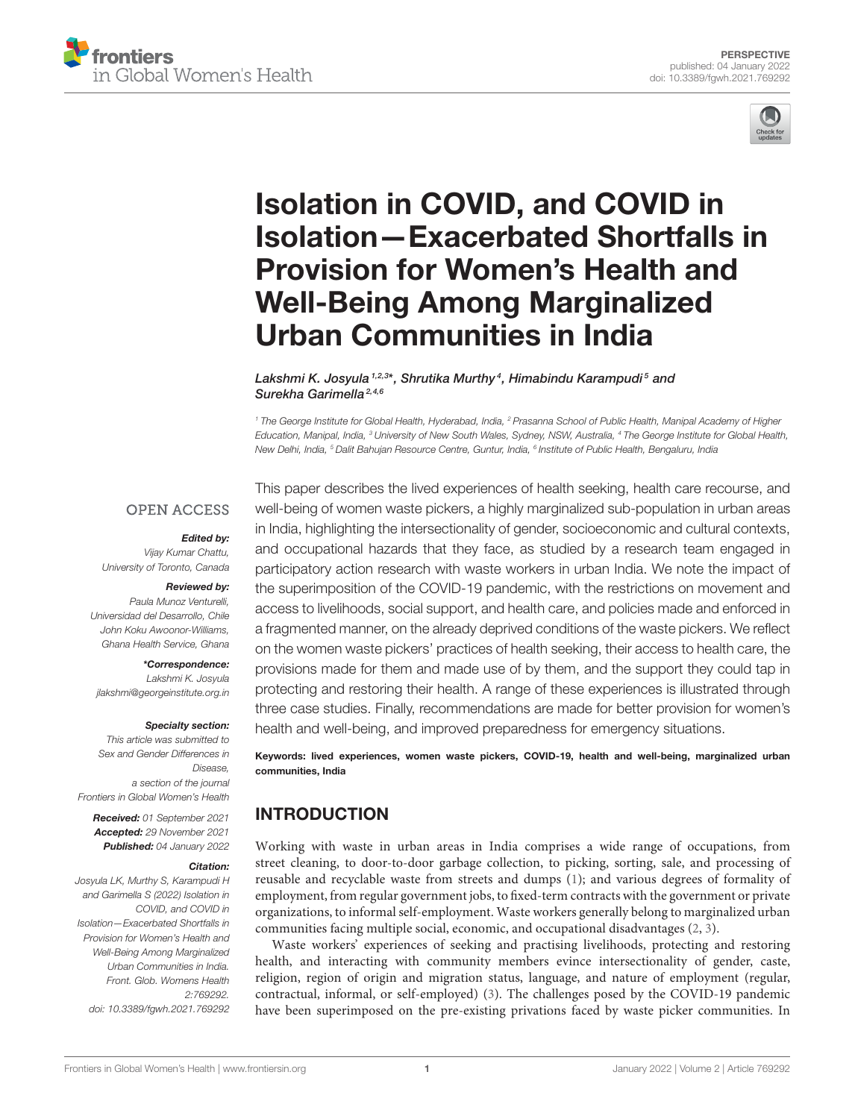



# Isolation in COVID, and COVID in [Isolation—Exacerbated Shortfalls in](https://www.frontiersin.org/articles/10.3389/fgwh.2021.769292/full) Provision for Women's Health and Well-Being Among Marginalized Urban Communities in India

Lakshmi K. Josyula <sup>1,2,3</sup>\*, Shrutika Murthy <sup>4</sup>, Himabindu Karampudi 5 and Surekha Garimella<sup>2,4,6</sup>

*<sup>1</sup> The George Institute for Global Health, Hyderabad, India, <sup>2</sup> Prasanna School of Public Health, Manipal Academy of Higher Education, Manipal, India, <sup>3</sup> University of New South Wales, Sydney, NSW, Australia, <sup>4</sup> The George Institute for Global Health, New Delhi, India, <sup>5</sup> Dalit Bahujan Resource Centre, Guntur, India, <sup>6</sup> Institute of Public Health, Bengaluru, India*

### **OPEN ACCESS**

#### Edited by:

*Vijay Kumar Chattu, University of Toronto, Canada*

#### Reviewed by:

*Paula Munoz Venturelli, Universidad del Desarrollo, Chile John Koku Awoonor-Williams, Ghana Health Service, Ghana*

\*Correspondence: *Lakshmi K. Josyula [jlakshmi@georgeinstitute.org.in](mailto:jlakshmi@georgeinstitute.org.in)*

#### Specialty section:

*This article was submitted to Sex and Gender Differences in Disease, a section of the journal Frontiers in Global Women's Health*

Received: *01 September 2021* Accepted: *29 November 2021* Published: *04 January 2022*

#### Citation:

*Josyula LK, Murthy S, Karampudi H and Garimella S (2022) Isolation in COVID, and COVID in Isolation—Exacerbated Shortfalls in Provision for Women's Health and Well-Being Among Marginalized Urban Communities in India. Front. Glob. Womens Health 2:769292. doi: [10.3389/fgwh.2021.769292](https://doi.org/10.3389/fgwh.2021.769292)*

This paper describes the lived experiences of health seeking, health care recourse, and well-being of women waste pickers, a highly marginalized sub-population in urban areas in India, highlighting the intersectionality of gender, socioeconomic and cultural contexts, and occupational hazards that they face, as studied by a research team engaged in participatory action research with waste workers in urban India. We note the impact of the superimposition of the COVID-19 pandemic, with the restrictions on movement and access to livelihoods, social support, and health care, and policies made and enforced in a fragmented manner, on the already deprived conditions of the waste pickers. We reflect on the women waste pickers' practices of health seeking, their access to health care, the provisions made for them and made use of by them, and the support they could tap in protecting and restoring their health. A range of these experiences is illustrated through three case studies. Finally, recommendations are made for better provision for women's health and well-being, and improved preparedness for emergency situations.

Keywords: lived experiences, women waste pickers, COVID-19, health and well-being, marginalized urban communities, India

### INTRODUCTION

Working with waste in urban areas in India comprises a wide range of occupations, from street cleaning, to door-to-door garbage collection, to picking, sorting, sale, and processing of reusable and recyclable waste from streets and dumps [\(1\)](#page-5-0); and various degrees of formality of employment, from regular government jobs, to fixed-term contracts with the government or private organizations, to informal self-employment. Waste workers generally belong to marginalized urban communities facing multiple social, economic, and occupational disadvantages [\(2,](#page-5-1) [3\)](#page-5-2).

Waste workers' experiences of seeking and practising livelihoods, protecting and restoring health, and interacting with community members evince intersectionality of gender, caste, religion, region of origin and migration status, language, and nature of employment (regular, contractual, informal, or self-employed) [\(3\)](#page-5-2). The challenges posed by the COVID-19 pandemic have been superimposed on the pre-existing privations faced by waste picker communities. In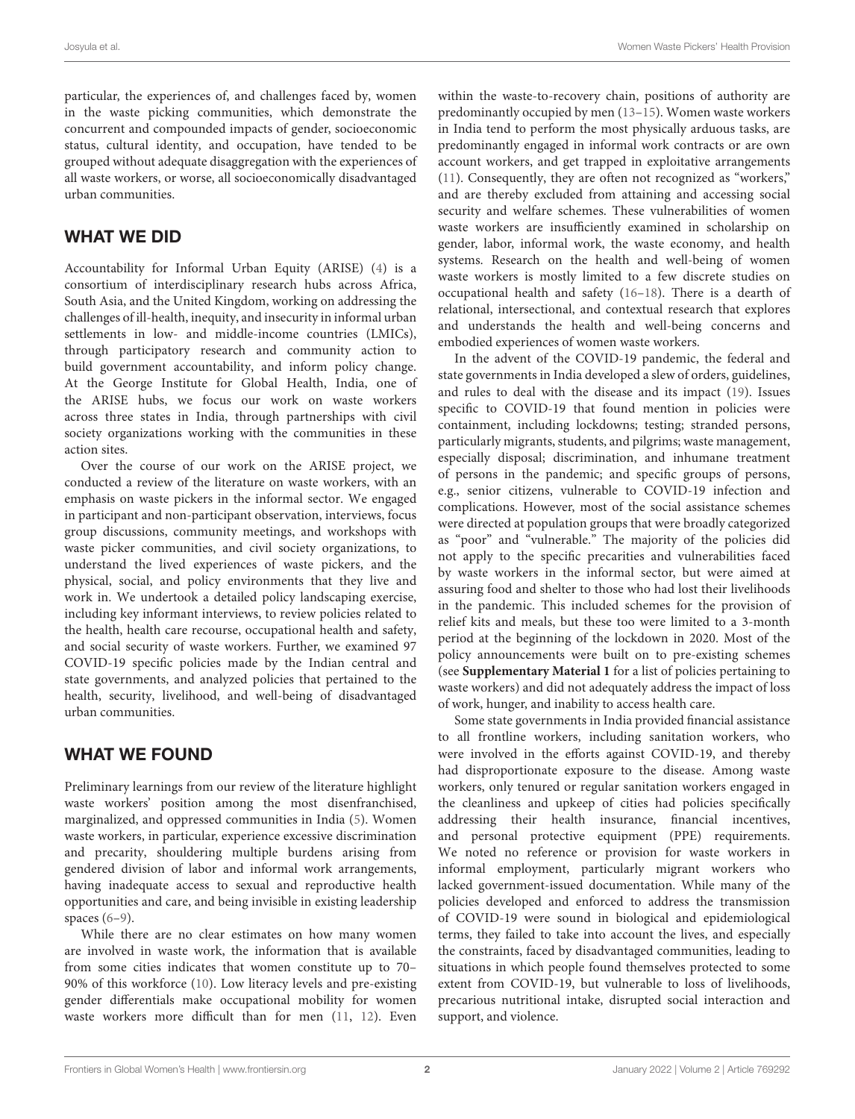particular, the experiences of, and challenges faced by, women in the waste picking communities, which demonstrate the concurrent and compounded impacts of gender, socioeconomic status, cultural identity, and occupation, have tended to be grouped without adequate disaggregation with the experiences of all waste workers, or worse, all socioeconomically disadvantaged urban communities.

### WHAT WE DID

Accountability for Informal Urban Equity (ARISE) [\(4\)](#page-5-3) is a consortium of interdisciplinary research hubs across Africa, South Asia, and the United Kingdom, working on addressing the challenges of ill-health, inequity, and insecurity in informal urban settlements in low- and middle-income countries (LMICs), through participatory research and community action to build government accountability, and inform policy change. At the George Institute for Global Health, India, one of the ARISE hubs, we focus our work on waste workers across three states in India, through partnerships with civil society organizations working with the communities in these action sites.

Over the course of our work on the ARISE project, we conducted a review of the literature on waste workers, with an emphasis on waste pickers in the informal sector. We engaged in participant and non-participant observation, interviews, focus group discussions, community meetings, and workshops with waste picker communities, and civil society organizations, to understand the lived experiences of waste pickers, and the physical, social, and policy environments that they live and work in. We undertook a detailed policy landscaping exercise, including key informant interviews, to review policies related to the health, health care recourse, occupational health and safety, and social security of waste workers. Further, we examined 97 COVID-19 specific policies made by the Indian central and state governments, and analyzed policies that pertained to the health, security, livelihood, and well-being of disadvantaged urban communities.

## WHAT WE FOUND

Preliminary learnings from our review of the literature highlight waste workers' position among the most disenfranchised, marginalized, and oppressed communities in India [\(5\)](#page-5-4). Women waste workers, in particular, experience excessive discrimination and precarity, shouldering multiple burdens arising from gendered division of labor and informal work arrangements, having inadequate access to sexual and reproductive health opportunities and care, and being invisible in existing leadership spaces [\(6–](#page-5-5)[9\)](#page-5-6).

While there are no clear estimates on how many women are involved in waste work, the information that is available from some cities indicates that women constitute up to 70– 90% of this workforce [\(10\)](#page-5-7). Low literacy levels and pre-existing gender differentials make occupational mobility for women waste workers more difficult than for men [\(11,](#page-5-8) [12\)](#page-5-9). Even

within the waste-to-recovery chain, positions of authority are predominantly occupied by men [\(13–](#page-5-10)[15\)](#page-5-11). Women waste workers in India tend to perform the most physically arduous tasks, are predominantly engaged in informal work contracts or are own account workers, and get trapped in exploitative arrangements [\(11\)](#page-5-8). Consequently, they are often not recognized as "workers," and are thereby excluded from attaining and accessing social security and welfare schemes. These vulnerabilities of women waste workers are insufficiently examined in scholarship on gender, labor, informal work, the waste economy, and health systems. Research on the health and well-being of women waste workers is mostly limited to a few discrete studies on occupational health and safety [\(16–](#page-5-12)[18\)](#page-5-13). There is a dearth of relational, intersectional, and contextual research that explores and understands the health and well-being concerns and embodied experiences of women waste workers.

In the advent of the COVID-19 pandemic, the federal and state governments in India developed a slew of orders, guidelines, and rules to deal with the disease and its impact [\(19\)](#page-5-14). Issues specific to COVID-19 that found mention in policies were containment, including lockdowns; testing; stranded persons, particularly migrants, students, and pilgrims; waste management, especially disposal; discrimination, and inhumane treatment of persons in the pandemic; and specific groups of persons, e.g., senior citizens, vulnerable to COVID-19 infection and complications. However, most of the social assistance schemes were directed at population groups that were broadly categorized as "poor" and "vulnerable." The majority of the policies did not apply to the specific precarities and vulnerabilities faced by waste workers in the informal sector, but were aimed at assuring food and shelter to those who had lost their livelihoods in the pandemic. This included schemes for the provision of relief kits and meals, but these too were limited to a 3-month period at the beginning of the lockdown in 2020. Most of the policy announcements were built on to pre-existing schemes (see **[Supplementary Material 1](#page-5-15)** for a list of policies pertaining to waste workers) and did not adequately address the impact of loss of work, hunger, and inability to access health care.

Some state governments in India provided financial assistance to all frontline workers, including sanitation workers, who were involved in the efforts against COVID-19, and thereby had disproportionate exposure to the disease. Among waste workers, only tenured or regular sanitation workers engaged in the cleanliness and upkeep of cities had policies specifically addressing their health insurance, financial incentives, and personal protective equipment (PPE) requirements. We noted no reference or provision for waste workers in informal employment, particularly migrant workers who lacked government-issued documentation. While many of the policies developed and enforced to address the transmission of COVID-19 were sound in biological and epidemiological terms, they failed to take into account the lives, and especially the constraints, faced by disadvantaged communities, leading to situations in which people found themselves protected to some extent from COVID-19, but vulnerable to loss of livelihoods, precarious nutritional intake, disrupted social interaction and support, and violence.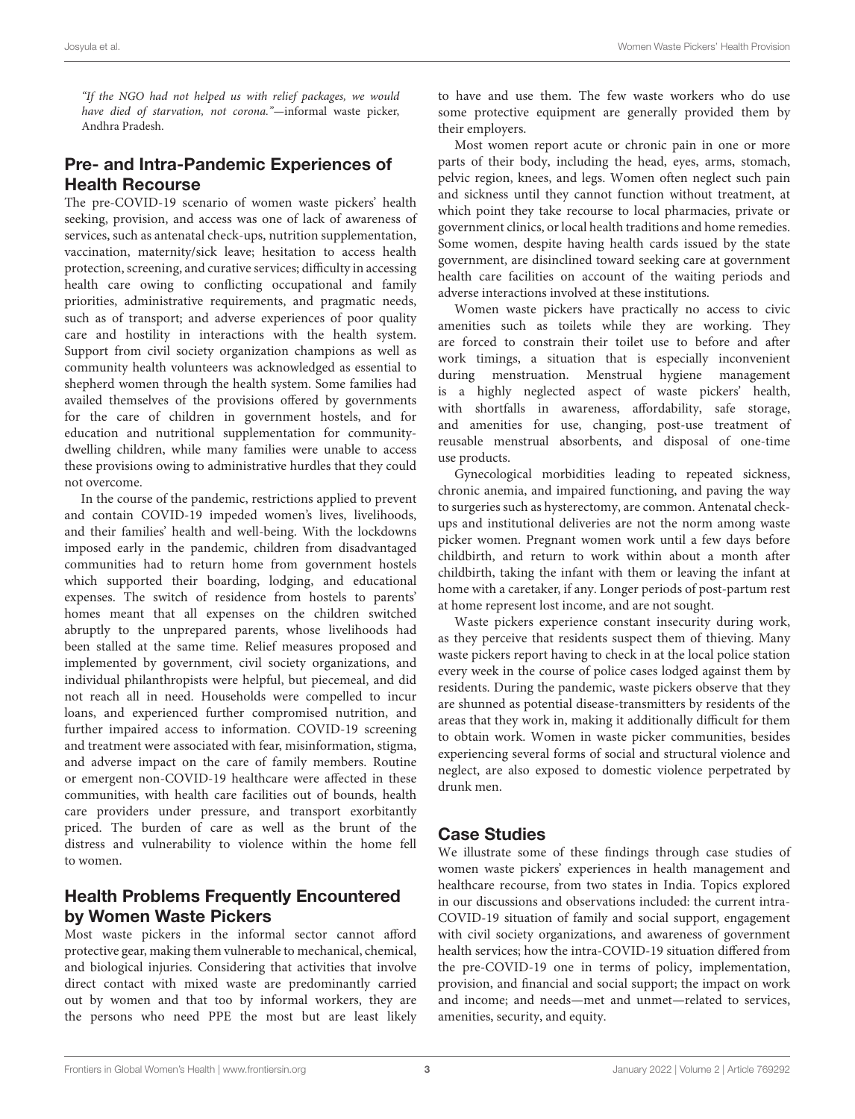"If the NGO had not helped us with relief packages, we would have died of starvation, not corona."—informal waste picker, Andhra Pradesh.

### Pre- and Intra-Pandemic Experiences of Health Recourse

The pre-COVID-19 scenario of women waste pickers' health seeking, provision, and access was one of lack of awareness of services, such as antenatal check-ups, nutrition supplementation, vaccination, maternity/sick leave; hesitation to access health protection, screening, and curative services; difficulty in accessing health care owing to conflicting occupational and family priorities, administrative requirements, and pragmatic needs, such as of transport; and adverse experiences of poor quality care and hostility in interactions with the health system. Support from civil society organization champions as well as community health volunteers was acknowledged as essential to shepherd women through the health system. Some families had availed themselves of the provisions offered by governments for the care of children in government hostels, and for education and nutritional supplementation for communitydwelling children, while many families were unable to access these provisions owing to administrative hurdles that they could not overcome.

In the course of the pandemic, restrictions applied to prevent and contain COVID-19 impeded women's lives, livelihoods, and their families' health and well-being. With the lockdowns imposed early in the pandemic, children from disadvantaged communities had to return home from government hostels which supported their boarding, lodging, and educational expenses. The switch of residence from hostels to parents' homes meant that all expenses on the children switched abruptly to the unprepared parents, whose livelihoods had been stalled at the same time. Relief measures proposed and implemented by government, civil society organizations, and individual philanthropists were helpful, but piecemeal, and did not reach all in need. Households were compelled to incur loans, and experienced further compromised nutrition, and further impaired access to information. COVID-19 screening and treatment were associated with fear, misinformation, stigma, and adverse impact on the care of family members. Routine or emergent non-COVID-19 healthcare were affected in these communities, with health care facilities out of bounds, health care providers under pressure, and transport exorbitantly priced. The burden of care as well as the brunt of the distress and vulnerability to violence within the home fell to women.

### Health Problems Frequently Encountered by Women Waste Pickers

Most waste pickers in the informal sector cannot afford protective gear, making them vulnerable to mechanical, chemical, and biological injuries. Considering that activities that involve direct contact with mixed waste are predominantly carried out by women and that too by informal workers, they are the persons who need PPE the most but are least likely to have and use them. The few waste workers who do use some protective equipment are generally provided them by their employers.

Most women report acute or chronic pain in one or more parts of their body, including the head, eyes, arms, stomach, pelvic region, knees, and legs. Women often neglect such pain and sickness until they cannot function without treatment, at which point they take recourse to local pharmacies, private or government clinics, or local health traditions and home remedies. Some women, despite having health cards issued by the state government, are disinclined toward seeking care at government health care facilities on account of the waiting periods and adverse interactions involved at these institutions.

Women waste pickers have practically no access to civic amenities such as toilets while they are working. They are forced to constrain their toilet use to before and after work timings, a situation that is especially inconvenient during menstruation. Menstrual hygiene management is a highly neglected aspect of waste pickers' health, with shortfalls in awareness, affordability, safe storage, and amenities for use, changing, post-use treatment of reusable menstrual absorbents, and disposal of one-time use products.

Gynecological morbidities leading to repeated sickness, chronic anemia, and impaired functioning, and paving the way to surgeries such as hysterectomy, are common. Antenatal checkups and institutional deliveries are not the norm among waste picker women. Pregnant women work until a few days before childbirth, and return to work within about a month after childbirth, taking the infant with them or leaving the infant at home with a caretaker, if any. Longer periods of post-partum rest at home represent lost income, and are not sought.

Waste pickers experience constant insecurity during work, as they perceive that residents suspect them of thieving. Many waste pickers report having to check in at the local police station every week in the course of police cases lodged against them by residents. During the pandemic, waste pickers observe that they are shunned as potential disease-transmitters by residents of the areas that they work in, making it additionally difficult for them to obtain work. Women in waste picker communities, besides experiencing several forms of social and structural violence and neglect, are also exposed to domestic violence perpetrated by drunk men.

## Case Studies

We illustrate some of these findings through case studies of women waste pickers' experiences in health management and healthcare recourse, from two states in India. Topics explored in our discussions and observations included: the current intra-COVID-19 situation of family and social support, engagement with civil society organizations, and awareness of government health services; how the intra-COVID-19 situation differed from the pre-COVID-19 one in terms of policy, implementation, provision, and financial and social support; the impact on work and income; and needs—met and unmet—related to services, amenities, security, and equity.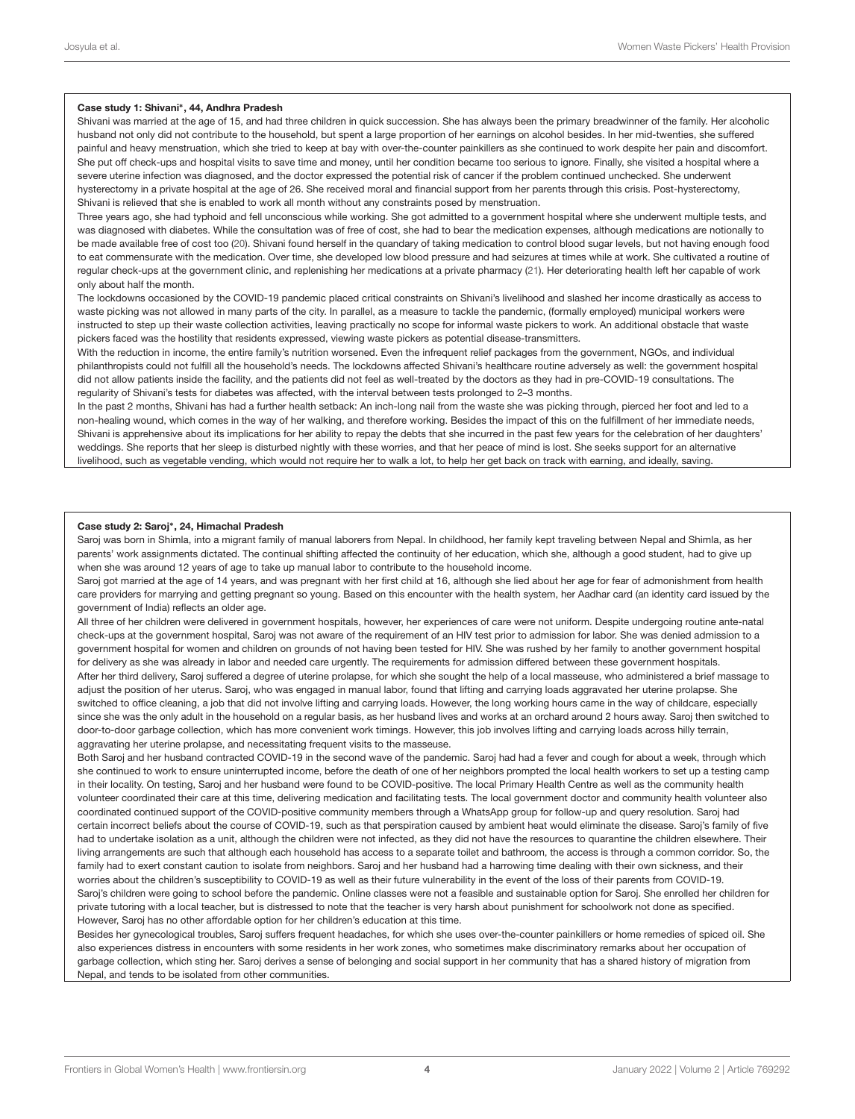#### Case study 1: Shivani<sup>∗</sup> , 44, Andhra Pradesh

Shivani was married at the age of 15, and had three children in quick succession. She has always been the primary breadwinner of the family. Her alcoholic husband not only did not contribute to the household, but spent a large proportion of her earnings on alcohol besides. In her mid-twenties, she suffered painful and heavy menstruation, which she tried to keep at bay with over-the-counter painkillers as she continued to work despite her pain and discomfort. She put off check-ups and hospital visits to save time and money, until her condition became too serious to ignore. Finally, she visited a hospital where a severe uterine infection was diagnosed, and the doctor expressed the potential risk of cancer if the problem continued unchecked. She underwent hysterectomy in a private hospital at the age of 26. She received moral and financial support from her parents through this crisis. Post-hysterectomy, Shivani is relieved that she is enabled to work all month without any constraints posed by menstruation.

Three years ago, she had typhoid and fell unconscious while working. She got admitted to a government hospital where she underwent multiple tests, and was diagnosed with diabetes. While the consultation was of free of cost, she had to bear the medication expenses, although medications are notionally to be made available free of cost too [\(20\)](#page-5-16). Shivani found herself in the quandary of taking medication to control blood sugar levels, but not having enough food to eat commensurate with the medication. Over time, she developed low blood pressure and had seizures at times while at work. She cultivated a routine of regular check-ups at the government clinic, and replenishing her medications at a private pharmacy [\(21\)](#page-5-17). Her deteriorating health left her capable of work only about half the month.

The lockdowns occasioned by the COVID-19 pandemic placed critical constraints on Shivani's livelihood and slashed her income drastically as access to waste picking was not allowed in many parts of the city. In parallel, as a measure to tackle the pandemic, (formally employed) municipal workers were instructed to step up their waste collection activities, leaving practically no scope for informal waste pickers to work. An additional obstacle that waste pickers faced was the hostility that residents expressed, viewing waste pickers as potential disease-transmitters.

With the reduction in income, the entire family's nutrition worsened. Even the infrequent relief packages from the government, NGOs, and individual philanthropists could not fulll all the household's needs. The lockdowns affected Shivani's healthcare routine adversely as well: the government hospital did not allow patients inside the facility, and the patients did not feel as well-treated by the doctors as they had in pre-COVID-19 consultations. The regularity of Shivani's tests for diabetes was affected, with the interval between tests prolonged to 2–3 months.

In the past 2 months, Shivani has had a further health setback: An inch-long nail from the waste she was picking through, pierced her foot and led to a non-healing wound, which comes in the way of her walking, and therefore working. Besides the impact of this on the fulfillment of her immediate needs, Shivani is apprehensive about its implications for her ability to repay the debts that she incurred in the past few years for the celebration of her daughters' weddings. She reports that her sleep is disturbed nightly with these worries, and that her peace of mind is lost. She seeks support for an alternative livelihood, such as vegetable vending, which would not require her to walk a lot, to help her get back on track with earning, and ideally, saving.

#### Case study 2: Saroj<sup>∗</sup> , 24, Himachal Pradesh

Saroj was born in Shimla, into a migrant family of manual laborers from Nepal. In childhood, her family kept traveling between Nepal and Shimla, as her parents' work assignments dictated. The continual shifting affected the continuity of her education, which she, although a good student, had to give up when she was around 12 years of age to take up manual labor to contribute to the household income.

Saroj got married at the age of 14 years, and was pregnant with her first child at 16, although she lied about her age for fear of admonishment from health care providers for marrying and getting pregnant so young. Based on this encounter with the health system, her Aadhar card (an identity card issued by the government of India) reflects an older age.

All three of her children were delivered in government hospitals, however, her experiences of care were not uniform. Despite undergoing routine ante-natal check-ups at the government hospital, Saroj was not aware of the requirement of an HIV test prior to admission for labor. She was denied admission to a government hospital for women and children on grounds of not having been tested for HIV. She was rushed by her family to another government hospital for delivery as she was already in labor and needed care urgently. The requirements for admission differed between these government hospitals. After her third delivery, Saroj suffered a degree of uterine prolapse, for which she sought the help of a local masseuse, who administered a brief massage to adjust the position of her uterus. Saroj, who was engaged in manual labor, found that lifting and carrying loads aggravated her uterine prolapse. She switched to office cleaning, a job that did not involve lifting and carrying loads. However, the long working hours came in the way of childcare, especially since she was the only adult in the household on a regular basis, as her husband lives and works at an orchard around 2 hours away. Saroj then switched to door-to-door garbage collection, which has more convenient work timings. However, this job involves lifting and carrying loads across hilly terrain, aggravating her uterine prolapse, and necessitating frequent visits to the masseuse.

Both Saroj and her husband contracted COVID-19 in the second wave of the pandemic. Saroj had had a fever and cough for about a week, through which she continued to work to ensure uninterrupted income, before the death of one of her neighbors prompted the local health workers to set up a testing camp in their locality. On testing, Saroj and her husband were found to be COVID-positive. The local Primary Health Centre as well as the community health volunteer coordinated their care at this time, delivering medication and facilitating tests. The local government doctor and community health volunteer also coordinated continued support of the COVID-positive community members through a WhatsApp group for follow-up and query resolution. Saroj had certain incorrect beliefs about the course of COVID-19, such as that perspiration caused by ambient heat would eliminate the disease. Saroj's family of five had to undertake isolation as a unit, although the children were not infected, as they did not have the resources to quarantine the children elsewhere. Their living arrangements are such that although each household has access to a separate toilet and bathroom, the access is through a common corridor. So, the family had to exert constant caution to isolate from neighbors. Saroj and her husband had a harrowing time dealing with their own sickness, and their worries about the children's susceptibility to COVID-19 as well as their future vulnerability in the event of the loss of their parents from COVID-19. Saroj's children were going to school before the pandemic. Online classes were not a feasible and sustainable option for Saroj. She enrolled her children for private tutoring with a local teacher, but is distressed to note that the teacher is very harsh about punishment for schoolwork not done as specified. However, Saroj has no other affordable option for her children's education at this time.

Besides her gynecological troubles, Saroj suffers frequent headaches, for which she uses over-the-counter painkillers or home remedies of spiced oil. She also experiences distress in encounters with some residents in her work zones, who sometimes make discriminatory remarks about her occupation of garbage collection, which sting her. Saroj derives a sense of belonging and social support in her community that has a shared history of migration from Nepal, and tends to be isolated from other communities.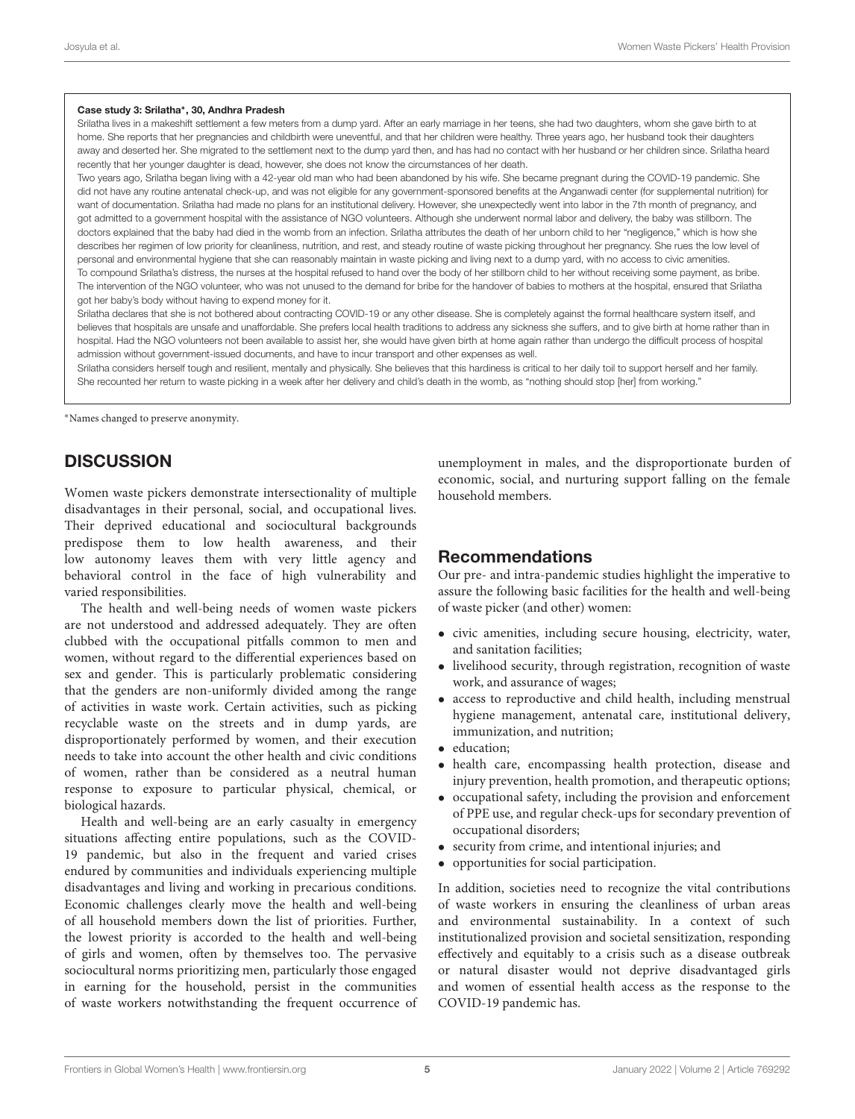#### Case study 3: Srilatha<sup>∗</sup> , 30, Andhra Pradesh

Srilatha lives in a makeshift settlement a few meters from a dump yard. After an early marriage in her teens, she had two daughters, whom she gave birth to at home. She reports that her pregnancies and childbirth were uneventful, and that her children were healthy. Three years ago, her husband took their daughters away and deserted her. She migrated to the settlement next to the dump yard then, and has had no contact with her husband or her children since. Srilatha heard recently that her younger daughter is dead, however, she does not know the circumstances of her death.

Two years ago, Srilatha began living with a 42-year old man who had been abandoned by his wife. She became pregnant during the COVID-19 pandemic. She did not have any routine antenatal check-up, and was not eligible for any government-sponsored benefits at the Anganwadi center (for supplemental nutrition) for want of documentation. Srilatha had made no plans for an institutional delivery. However, she unexpectedly went into labor in the 7th month of pregnancy, and got admitted to a government hospital with the assistance of NGO volunteers. Although she underwent normal labor and delivery, the baby was stillborn. The doctors explained that the baby had died in the womb from an infection. Srilatha attributes the death of her unborn child to her "negligence," which is how she describes her regimen of low priority for cleanliness, nutrition, and rest, and steady routine of waste picking throughout her pregnancy. She rues the low level of personal and environmental hygiene that she can reasonably maintain in waste picking and living next to a dump yard, with no access to civic amenities. To compound Srilatha's distress, the nurses at the hospital refused to hand over the body of her stillborn child to her without receiving some payment, as bribe. The intervention of the NGO volunteer, who was not unused to the demand for bribe for the handover of babies to mothers at the hospital, ensured that Srilatha got her baby's body without having to expend money for it.

Srilatha declares that she is not bothered about contracting COVID-19 or any other disease. She is completely against the formal healthcare system itself, and believes that hospitals are unsafe and unaffordable. She prefers local health traditions to address any sickness she suffers, and to give birth at home rather than in hospital. Had the NGO volunteers not been available to assist her, she would have given birth at home again rather than undergo the difficult process of hospital admission without government-issued documents, and have to incur transport and other expenses as well.

Srilatha considers herself tough and resilient, mentally and physically. She believes that this hardiness is critical to her daily toil to support herself and her family. She recounted her return to waste picking in a week after her delivery and child's death in the womb, as "nothing should stop [her] from working."

<sup>∗</sup>Names changed to preserve anonymity.

### **DISCUSSION**

Women waste pickers demonstrate intersectionality of multiple disadvantages in their personal, social, and occupational lives. Their deprived educational and sociocultural backgrounds predispose them to low health awareness, and their low autonomy leaves them with very little agency and behavioral control in the face of high vulnerability and varied responsibilities.

The health and well-being needs of women waste pickers are not understood and addressed adequately. They are often clubbed with the occupational pitfalls common to men and women, without regard to the differential experiences based on sex and gender. This is particularly problematic considering that the genders are non-uniformly divided among the range of activities in waste work. Certain activities, such as picking recyclable waste on the streets and in dump yards, are disproportionately performed by women, and their execution needs to take into account the other health and civic conditions of women, rather than be considered as a neutral human response to exposure to particular physical, chemical, or biological hazards.

Health and well-being are an early casualty in emergency situations affecting entire populations, such as the COVID-19 pandemic, but also in the frequent and varied crises endured by communities and individuals experiencing multiple disadvantages and living and working in precarious conditions. Economic challenges clearly move the health and well-being of all household members down the list of priorities. Further, the lowest priority is accorded to the health and well-being of girls and women, often by themselves too. The pervasive sociocultural norms prioritizing men, particularly those engaged in earning for the household, persist in the communities of waste workers notwithstanding the frequent occurrence of unemployment in males, and the disproportionate burden of economic, social, and nurturing support falling on the female household members.

### Recommendations

Our pre- and intra-pandemic studies highlight the imperative to assure the following basic facilities for the health and well-being of waste picker (and other) women:

- civic amenities, including secure housing, electricity, water, and sanitation facilities;
- livelihood security, through registration, recognition of waste work, and assurance of wages;
- access to reproductive and child health, including menstrual hygiene management, antenatal care, institutional delivery, immunization, and nutrition;
- education;
- health care, encompassing health protection, disease and injury prevention, health promotion, and therapeutic options;
- occupational safety, including the provision and enforcement of PPE use, and regular check-ups for secondary prevention of occupational disorders;
- security from crime, and intentional injuries; and
- opportunities for social participation.

In addition, societies need to recognize the vital contributions of waste workers in ensuring the cleanliness of urban areas and environmental sustainability. In a context of such institutionalized provision and societal sensitization, responding effectively and equitably to a crisis such as a disease outbreak or natural disaster would not deprive disadvantaged girls and women of essential health access as the response to the COVID-19 pandemic has.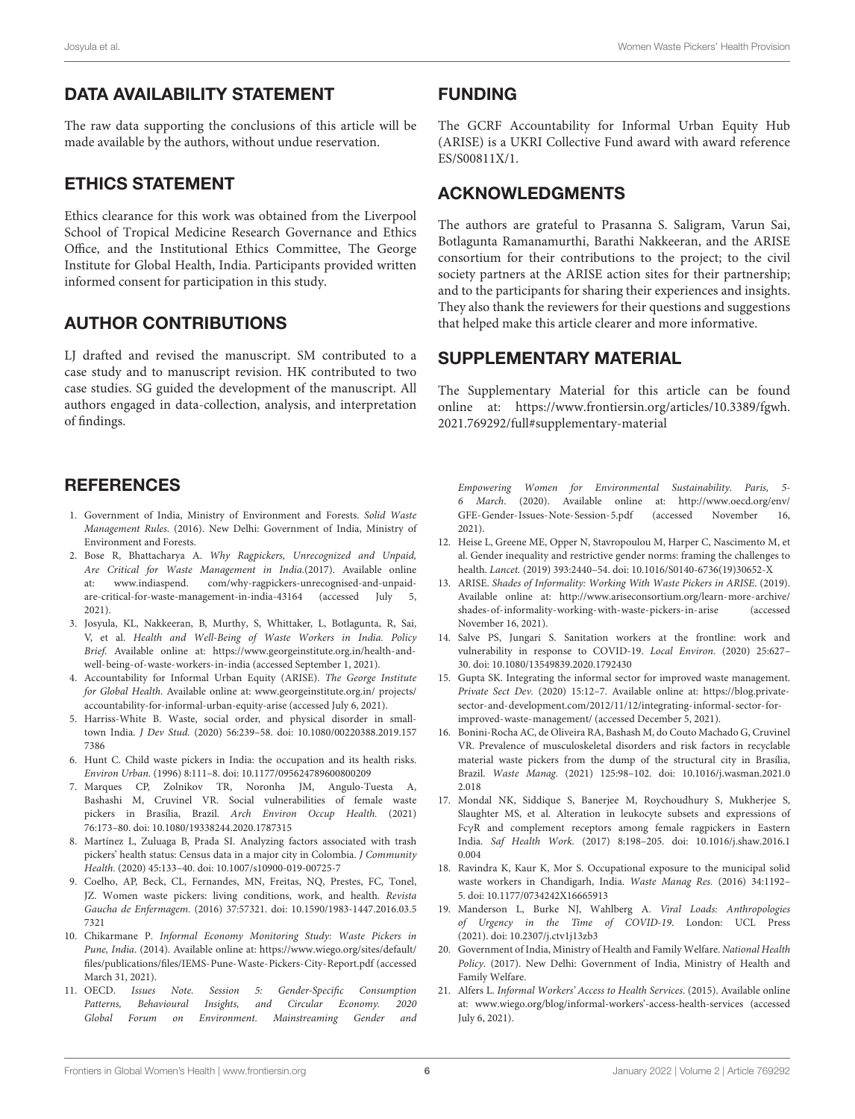# DATA AVAILABILITY STATEMENT

The raw data supporting the conclusions of this article will be made available by the authors, without undue reservation.

## ETHICS STATEMENT

Ethics clearance for this work was obtained from the Liverpool School of Tropical Medicine Research Governance and Ethics Office, and the Institutional Ethics Committee, The George Institute for Global Health, India. Participants provided written informed consent for participation in this study.

# AUTHOR CONTRIBUTIONS

LJ drafted and revised the manuscript. SM contributed to a case study and to manuscript revision. HK contributed to two case studies. SG guided the development of the manuscript. All authors engaged in data-collection, analysis, and interpretation of findings.

## **REFERENCES**

- <span id="page-5-0"></span>1. Government of India, Ministry of Environment and Forests. Solid Waste Management Rules. (2016). New Delhi: Government of India, Ministry of Environment and Forests.
- <span id="page-5-1"></span>2. Bose R, Bhattacharya A. Why Ragpickers, Unrecognized and Unpaid, Are Critical for Waste Management in India.(2017). Available online at: [www.indiaspend.](http://www.indiaspend) com/why-ragpickers-unrecognised-and-unpaidare-critical-for-waste-management-in-india-43164 (accessed July 5, 2021).
- <span id="page-5-2"></span>3. Josyula, KL, Nakkeeran, B, Murthy, S, Whittaker, L, Botlagunta, R, Sai, V, et al. Health and Well-Being of Waste Workers in India. Policy Brief. Available online at: [https://www.georgeinstitute.org.in/health-and](https://www.georgeinstitute.org.in/health-and-well-being-of-waste-workers-in-india)[well-being-of-waste-workers-in-india](https://www.georgeinstitute.org.in/health-and-well-being-of-waste-workers-in-india) (accessed September 1, 2021).
- <span id="page-5-3"></span>4. Accountability for Informal Urban Equity (ARISE). The George Institute for Global Health. Available online at: [www.georgeinstitute.org.in/](http://www.georgeinstitute.org.in/) projects/ accountability-for-informal-urban-equity-arise (accessed July 6, 2021).
- <span id="page-5-4"></span>5. Harriss-White B. Waste, social order, and physical disorder in smalltown India. J Dev Stud. [\(2020\) 56:239–58. doi: 10.1080/00220388.2019.157](https://doi.org/10.1080/00220388.2019.1577386) 7386
- <span id="page-5-5"></span>6. Hunt C. Child waste pickers in India: the occupation and its health risks. Environ Urban. (1996) 8:111–8. doi: [10.1177/095624789600800209](https://doi.org/10.1177/095624789600800209)
- 7. Marques CP, Zolnikov TR, Noronha JM, Angulo-Tuesta A, Bashashi M, Cruvinel VR. Social vulnerabilities of female waste pickers in Brasília, Brazil. Arch Environ Occup Health. (2021) 76:173–80. doi: [10.1080/19338244.2020.1787315](https://doi.org/10.1080/19338244.2020.1787315)
- 8. Martínez L, Zuluaga B, Prada SI. Analyzing factors associated with trash pickers' health status: Census data in a major city in Colombia. J Community Health. (2020) 45:133–40. doi: [10.1007/s10900-019-00725-7](https://doi.org/10.1007/s10900-019-00725-7)
- <span id="page-5-6"></span>9. Coelho, AP, Beck, CL, Fernandes, MN, Freitas, NQ, Prestes, FC, Tonel, JZ. Women waste pickers: living conditions, work, and health. Revista Gaucha de Enfermagem. [\(2016\) 37:57321. doi: 10.1590/1983-1447.2016.03.5](https://doi.org/10.1590/1983-1447.2016.03.57321) 7321
- <span id="page-5-7"></span>10. Chikarmane P. Informal Economy Monitoring Study: Waste Pickers in Pune, India. (2014). Available online at: [https://www.wiego.org/sites/default/](https://www.wiego.org/sites/default/files/publications/files/IEMS-Pune-Waste-Pickers-City-Report.pdf) [files/publications/files/IEMS-Pune-Waste-Pickers-City-Report.pdf](https://www.wiego.org/sites/default/files/publications/files/IEMS-Pune-Waste-Pickers-City-Report.pdf) (accessed March 31, 2021).
- <span id="page-5-8"></span>11. OECD. Issues Note. Session 5: Gender-Specific Consumption Patterns, Behavioural Insights, and Circular Economy. 2020 Global Forum on Environment. Mainstreaming Gender and

### FUNDING

The GCRF Accountability for Informal Urban Equity Hub (ARISE) is a UKRI Collective Fund award with award reference ES/S00811X/1.

### ACKNOWLEDGMENTS

The authors are grateful to Prasanna S. Saligram, Varun Sai, Botlagunta Ramanamurthi, Barathi Nakkeeran, and the ARISE consortium for their contributions to the project; to the civil society partners at the ARISE action sites for their partnership; and to the participants for sharing their experiences and insights. They also thank the reviewers for their questions and suggestions that helped make this article clearer and more informative.

### SUPPLEMENTARY MATERIAL

<span id="page-5-15"></span>The Supplementary Material for this article can be found [online at: https://www.frontiersin.org/articles/10.3389/fgwh.](https://www.frontiersin.org/articles/10.3389/fgwh.2021.769292/full#supplementary-material) 2021.769292/full#supplementary-material

Empowering Women for Environmental Sustainability. Paris, 5- 6 March. (2020). Available online at: [http://www.oecd.org/env/](http://www.oecd.org/env/GFE-Gender-Issues-Note-Session-5.pdf) [GFE-Gender-Issues-Note-Session-5.pdf](http://www.oecd.org/env/GFE-Gender-Issues-Note-Session-5.pdf) (accessed November 16, 2021).

- <span id="page-5-9"></span>12. Heise L, Greene ME, Opper N, Stavropoulou M, Harper C, Nascimento M, et al. Gender inequality and restrictive gender norms: framing the challenges to health. Lancet. (2019) 393:2440–54. doi: [10.1016/S0140-6736\(19\)30652-X](https://doi.org/10.1016/S0140-6736(19)30652-X)
- <span id="page-5-10"></span>13. ARISE. Shades of Informality: Working With Waste Pickers in ARISE. (2019). Available online at: [http://www.ariseconsortium.org/learn-more-archive/](http://www.ariseconsortium.org/learn-more-archive/shades-of-informality-working-with-waste-pickers-in-arise) [shades-of-informality-working-with-waste-pickers-in-arise](http://www.ariseconsortium.org/learn-more-archive/shades-of-informality-working-with-waste-pickers-in-arise) (accessed November 16, 2021).
- 14. Salve PS, Jungari S. Sanitation workers at the frontline: work and vulnerability in response to COVID-19. Local Environ. (2020) 25:627– 30. doi: [10.1080/13549839.2020.1792430](https://doi.org/10.1080/13549839.2020.1792430)
- <span id="page-5-11"></span>15. Gupta SK. Integrating the informal sector for improved waste management. Private Sect Dev. (2020) 15:12–7. Available online at: [https://blog.private](https://blog.private-sector-and-development.com/2012/11/12/integrating-informal-sector-for-improved-waste-management/)[sector-and-development.com/2012/11/12/integrating-informal-sector-for](https://blog.private-sector-and-development.com/2012/11/12/integrating-informal-sector-for-improved-waste-management/)[improved-waste-management/](https://blog.private-sector-and-development.com/2012/11/12/integrating-informal-sector-for-improved-waste-management/) (accessed December 5, 2021).
- <span id="page-5-12"></span>16. Bonini-Rocha AC, de Oliveira RA, Bashash M, do Couto Machado G, Cruvinel VR. Prevalence of musculoskeletal disorders and risk factors in recyclable material waste pickers from the dump of the structural city in Brasília, Brazil. Waste Manag. [\(2021\) 125:98–102. doi: 10.1016/j.wasman.2021.0](https://doi.org/10.1016/j.wasman.2021.02.018) 2.018
- 17. Mondal NK, Siddique S, Banerjee M, Roychoudhury S, Mukherjee S, Slaughter MS, et al. Alteration in leukocyte subsets and expressions of FcγR and complement receptors among female ragpickers in Eastern India. Saf Health Work. [\(2017\) 8:198–205. doi: 10.1016/j.shaw.2016.1](https://doi.org/10.1016/j.shaw.2016.10.004) 0.004
- <span id="page-5-13"></span>18. Ravindra K, Kaur K, Mor S. Occupational exposure to the municipal solid waste workers in Chandigarh, India. Waste Manag Res. (2016) 34:1192– 5. doi: [10.1177/0734242X16665913](https://doi.org/10.1177/0734242X16665913)
- <span id="page-5-14"></span>19. Manderson L, Burke NJ, Wahlberg A. Viral Loads: Anthropologies of Urgency in the Time of COVID-19. London: UCL Press (2021). doi: [10.2307/j.ctv1j13zb3](https://doi.org/10.2307/j.ctv1j13zb3)
- <span id="page-5-16"></span>20. Government of India, Ministry of Health and Family Welfare. National Health Policy. (2017). New Delhi: Government of India, Ministry of Health and Family Welfare.
- <span id="page-5-17"></span>21. Alfers L. Informal Workers' Access to Health Services. (2015). Available online at: [www.wiego.org/blog/informal-](http://www.wiego.org/blog/informal)workers'-access-health-services (accessed July 6, 2021).